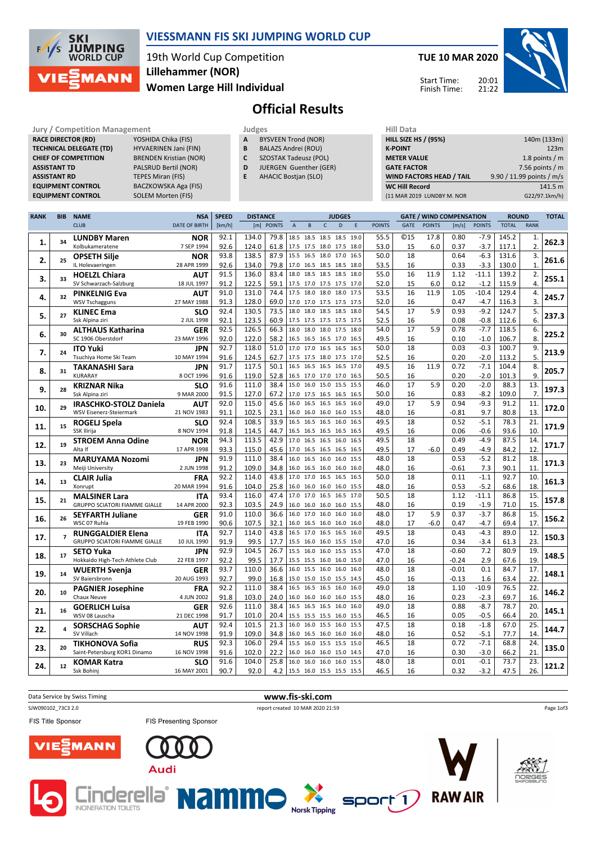

## **VIESSMANN FIS SKI JUMPING WORLD CUP**

19th World Cup Competition **Women Large Hill Individual Lillehammer (NOR)**

**TUE 10 MAR 2020**



Start Time: Finish Time:

# **Official Results**

**Jury / Competition Management**<br> **RACE DIRECTOR (RD)** YOSHIDA Chika (FIS) **A** BYSVEEN Trond (NOR) **HILL SIZE HILL SIZE F RACE DIRECTOR (RD) TECHNICAL DELEGATE (TD)** HYVAERINEN Jani (FIN)<br>**CHIEF OF COMPETITION** BRENDEN Kristian (NOR) **CHIEF OF COMPETITION ASSISTANT TD** PALSRUD Bertil (NOR) **ASSISTANT RD** TEPES Miran (FIS)<br> **EQUIPMENT CONTROL** BACZKOWSKA Aga

**EACZKOWSKA Aga (FIS) EQUIPMENT CONTROL** SOLEM Morten (FIS)

|  | Judges                     |  |
|--|----------------------------|--|
|  | <b>BYSVEEN Trond (NOR)</b> |  |

- **B** BALAZS Andrei (ROU)
- **C** SZOSTAK Tadeusz (POL) **D** JUERGEN Guenther (GER)
	-
- **E** AHACIC Bostjan (SLO)

| нш рата                         |                           |
|---------------------------------|---------------------------|
| <b>HILL SIZE HS / (95%)</b>     | 140m (133m)               |
| <b>K-POINT</b>                  | 123m                      |
| <b>METER VALUE</b>              | 1.8 points $/m$           |
| <b>GATE FACTOR</b>              | 7.56 points $/m$          |
| <b>WIND FACTORS HEAD / TAIL</b> | 9.90 / 11.99 points / m/s |
| <b>WC Hill Record</b>           | 141.5 m                   |
| (11 MAR 2019 LUNDBY M. NOR      | G22/97.1km/h)             |
|                                 |                           |

| <b>RANK</b> | BIB            | <b>NAME</b>                                    | <b>NSA</b>                | <b>SPEED</b> | WIND COMPENSATION<br><b>DISTANCE</b><br><b>JUDGES</b><br>GATE, |               | <b>ROUND</b>                                         |   | TOTAL        |   |              |               |             |               |                 |                  |                |              |       |
|-------------|----------------|------------------------------------------------|---------------------------|--------------|----------------------------------------------------------------|---------------|------------------------------------------------------|---|--------------|---|--------------|---------------|-------------|---------------|-----------------|------------------|----------------|--------------|-------|
|             |                | <b>CLUB</b>                                    | DATE OF BIRTH             | [km/h]       | [m]                                                            | <b>POINTS</b> | $\overline{A}$                                       | B | $\mathsf{C}$ | D | E            | <b>POINTS</b> | <b>GATE</b> | <b>POINTS</b> | [m/s]           | <b>POINTS</b>    | <b>TOTAL</b>   | <b>RANK</b>  |       |
|             |                | <b>LUNDBY Maren</b>                            | <b>NOR</b>                | 92.1         | 134.0                                                          | 79.8          | 18.5 18.5 18.5 18.5 19.0                             |   |              |   |              | 55.5          | <b>©15</b>  | 17.8          | 0.80            | $-7.9$           | 145.2          | 1.           |       |
| 1.          | 34             | Kolbukameratene                                | 7 SEP 1994                | 92.6         | 124.0                                                          | 61.8          | 17.5 17.5 18.0 17.5 18.0                             |   |              |   |              | 53.0          | 15          | 6.0           | 0.37            | $-3.7$           | 117.1          | 2.           | 262.3 |
| 2.          | 25             | <b>OPSETH Silje</b>                            | <b>NOR</b>                | 93.8         | 138.5                                                          | 87.9          | 15.5 16.5 18.0 17.0                                  |   |              |   | 16.5         | 50.0          | 18          |               | 0.64            | $-6.3$           | 131.6          | 3.           | 261.6 |
|             |                | IL Holevaeringen                               | 28 APR 1999               | 92.6         | 134.0                                                          | 79.8          | 17.0 16.5 18.5 18.5 18.0                             |   |              |   |              | 53.5          | 16          |               | 0.33            | $-3.3$           | 130.0          | $\mathbf{1}$ |       |
| 3.          | 33             | <b>HOELZL Chiara</b>                           | <b>AUT</b>                | 91.5         | 136.0                                                          | 83.4          | 18.0 18.5 18.5 18.5 18.0                             |   |              |   |              | 55.0          | 16          | 11.9          | 1.12            | $-11.1$          | 139.2          | 2.           | 255.1 |
|             |                | SV Schwarzach-Salzburg                         | 18 JUL 1997               | 91.2         | 122.5                                                          | 59.1          | 17.5 17.0 17.5 17.5 17.0                             |   |              |   |              | 52.0          | 15          | 6.0           | 0.12            | $-1.2$           | 115.9          | 4.           |       |
| 4.          | 32             | <b>PINKELNIG Eva</b>                           | <b>AUT</b>                | 91.0         | 131.0                                                          | 74.4          | 17.5 18.0 18.0 18.0                                  |   |              |   | 17.5         | 53.5          | 16          | 11.9          | 1.05            | $-10.4$          | 129.4          | 4.           | 245.7 |
|             |                | <b>WSV Tschagguns</b>                          | 27 MAY 1988               | 91.3         | 128.0                                                          | 69.0          | 17.0 17.0 17.5 17.5 17.5                             |   |              |   |              | 52.0          | 16          |               | 0.47            | $-4.7$           | 116.3          | 3.           |       |
| 5.          | 27             | <b>KLINEC Ema</b><br>Ssk Alpina ziri           | <b>SLO</b><br>2 JUL 1998  | 92.4<br>92.1 | 130.5<br>123.5                                                 | 73.5<br>60.9  | 18.0 18.0 18.5 18.5 18.0<br>17.5 17.5 17.5 17.5 17.5 |   |              |   |              | 54.5<br>52.5  | 17          | 5.9           | 0.93<br>0.08    | $-9.2$           | 124.7          | 5.<br>6.     | 237.3 |
|             |                |                                                |                           | 92.5         | 126.5                                                          | 66.3          | 18.0 18.0 18.0 17.5 18.0                             |   |              |   |              | 54.0          | 16<br>17    | 5.9           | 0.78            | $-0.8$<br>$-7.7$ | 112.6<br>118.5 | 6.           |       |
| 6.          | 30             | <b>ALTHAUS Katharina</b><br>SC 1906 Oberstdorf | <b>GER</b><br>23 MAY 1996 | 92.0         | 122.0                                                          | 58.2          | 16.5 16.5 16.5 17.0 16.5                             |   |              |   |              | 49.5          | 16          |               | 0.10            | $-1.0$           | 106.7          | 8.           | 225.2 |
|             |                | <b>ITO Yuki</b>                                | <b>JPN</b>                | 92.7         | 118.0                                                          | 51.0          | 17.0 17.0 16.5 16.5                                  |   |              |   | 16.5         | 50.0          | 18          |               | 0.03            | $-0.3$           | 100.7          | 9.           |       |
| 7.          | 24             | Tsuchiya Home Ski Team                         | 10 MAY 1994               | 91.6         | 124.5                                                          | 62.7          | 17.5 17.5 18.0 17.5 17.0                             |   |              |   |              | 52.5          | 16          |               | 0.20            | $-2.0$           | 113.2          | 5.           | 213.9 |
|             |                | <b>TAKANASHI Sara</b>                          | <b>JPN</b>                | 91.7         | 117.5                                                          | 50.1          | 16.5 16.5 16.5 16.5 17.0                             |   |              |   |              | 49.5          | 16          | 11.9          | 0.72            | $-7.1$           | 104.4          | 8.           |       |
| 8.          | 31             | KURARAY                                        | 8 OCT 1996                | 91.6         | 119.0                                                          | 52.8          | 16.5 17.0 17.0 17.0 16.5                             |   |              |   |              | 50.5          | 16          |               | 0.20            | $-2.0$           | 101.3          | 9.           | 205.7 |
|             |                | <b>KRIZNAR Nika</b>                            | <b>SLO</b>                | 91.6         | 111.0                                                          | 38.4          | 15.0 16.0 15.0 15.5 15.5                             |   |              |   |              | 46.0          | 17          | 5.9           | 0.20            | $-2.0$           | 88.3           | 13.          |       |
| 9.          | 28             | Ssk Alpina ziri                                | 9 MAR 2000                | 91.5         | 127.0                                                          | 67.2          | 17.0 17.5 16.5 16.5 16.5                             |   |              |   |              | 50.0          | 16          |               | 0.83            | $-8.2$           | 109.0          | 7.           | 197.3 |
|             | 29             | <b>IRASCHKO-STOLZ Daniela</b>                  | <b>AUT</b>                | 92.0         | 115.0                                                          | 45.6          | 16.0 16.5 16.5 16.5 16.0                             |   |              |   |              | 49.0          | 17          | 5.9           | 0.94            | $-9.3$           | 91.2           | 11.          | 172.0 |
| 10.         |                | WSV Eisenerz-Steiermark                        | 21 NOV 1983               | 91.1         | 102.5                                                          | 23.1          | 16.0 16.0 16.0 16.0 15.5                             |   |              |   |              | 48.0          | 16          |               | $-0.81$         | 9.7              | 80.8           | 13.          |       |
| 11.         | 15             | ROGELJ Spela                                   | <b>SLO</b>                | 92.4         | 108.5                                                          | 33.9          | 16.5 16.5 16.5 16.0                                  |   |              |   | 16.5         | 49.5          | 18          |               | 0.52            | $-5.1$           | 78.3           | 21.          | 171.9 |
|             |                | SSK Ilirija                                    | 8 NOV 1994                | 91.8         | 114.5                                                          | 44.7          | 16.5 16.5 16.5 16.5 16.5                             |   |              |   |              | 49.5          | 16          |               | 0.06            | $-0.6$           | 93.6           | 10.          |       |
| 12.         | 19             | <b>STROEM Anna Odine</b>                       | NOR                       | 94.3         | 113.5                                                          | 42.9          | 17.0 16.5 16.5 16.0                                  |   |              |   | 16.5         | 49.5          | 18          |               | 0.49            | $-4.9$           | 87.5           | 14.          | 171.7 |
|             |                | Alta If                                        | 17 APR 1998               | 93.3         | 115.0                                                          | 45.6          | 17.0 16.5 16.5 16.5                                  |   |              |   | 16.5         | 49.5          | 17          | $-6.0$        | 0.49            | $-4.9$           | 84.2           | 12.          |       |
| 13.         | 23             | <b>MARUYAMA Nozomi</b>                         | <b>JPN</b>                | 91.9         | 111.0                                                          | 38.4          | 16.0 16.5 16.0 16.0                                  |   |              |   | 15.5         | 48.0          | 18          |               | 0.53            | $-5.2$           | 81.2           | 18.          | 171.3 |
|             |                | Meiji University                               | 2 JUN 1998                | 91.2<br>92.2 | 109.0<br>114.0                                                 | 34.8<br>43.8  | 16.0 16.5 16.0 16.0 16.0<br>17.0 17.0 16.5 16.5      |   |              |   | 16.5         | 48.0<br>50.0  | 16<br>18    |               | $-0.61$<br>0.11 | 7.3<br>$-1.1$    | 90.1<br>92.7   | 11.<br>10.   |       |
| 14.         | 13             | <b>CLAIR Julia</b><br>Xonrupt                  | FRA<br>20 MAR 1994        | 91.6         | 104.0                                                          | 25.8          | 16.0 16.0 16.0 16.0                                  |   |              |   | 15.5         | 48.0          | 16          |               | 0.53            | $-5.2$           | 68.6           | 18.          | 161.3 |
|             |                | <b>MALSINER Lara</b>                           | <b>ITA</b>                | 93.4         | 116.0                                                          | 47.4          | 17.0 17.0 16.5 16.5                                  |   |              |   | 17.0         | 50.5          | 18          |               | 1.12            | $-11.1$          | 86.8           | 15.          |       |
| 15.         | 21             | <b>GRUPPO SCIATORI FIAMME GIALLE</b>           | 14 APR 2000               | 92.3         | 103.5                                                          | 24.9          | 16.0 16.0 16.0 16.0                                  |   |              |   | 15.5         | 48.0          | 16          |               | 0.19            | $-1.9$           | 71.0           | 15.          | 157.8 |
|             |                | <b>SEYFARTH Juliane</b>                        | <b>GER</b>                | 91.0         | 110.0                                                          | 36.6          | 16.0 17.0 16.0 16.0                                  |   |              |   | 16.0         | 48.0          | 17          | 5.9           | 0.37            | $-3.7$           | 86.8           | 15.          |       |
| 16.         | 26             | WSC 07 Ruhla                                   | 19 FEB 1990               | 90.6         | 107.5                                                          | 32.1          | 16.0 16.5 16.0 16.0 16.0                             |   |              |   |              | 48.0          | 17          | $-6.0$        | 0.47            | $-4.7$           | 69.4           | 17.          | 156.2 |
|             | $\overline{ }$ | <b>RUNGGALDIER Elena</b>                       | <b>ITA</b>                | 92.7         | 114.0                                                          | 43.8          | 16.5 17.0 16.5 16.5 16.0                             |   |              |   |              | 49.5          | 18          |               | 0.43            | $-4.3$           | 89.0           | 12.          |       |
| 17.         |                | <b>GRUPPO SCIATORI FIAMME GIALLE</b>           | 10 JUL 1990               | 91.9         | 99.5                                                           | 17.7          | 15.5 16.0 16.0 15.5 15.0                             |   |              |   |              | 47.0          | 16          |               | 0.34            | $-3.4$           | 61.3           | 23.          | 150.3 |
| 18.         | 17             | <b>SETO Yuka</b>                               | <b>JPN</b>                | 92.9         | 104.5                                                          | 26.7          | 15.5 16.0 16.0 15.5                                  |   |              |   | 15.5         | 47.0          | 18          |               | $-0.60$         | 7.2              | 80.9           | 19.          | 148.5 |
|             |                | Hokkaido High-Tech Athlete Club                | 22 FEB 1997               | 92.2         | 99.5                                                           | 17.7          | 15.5 15.5 16.0 16.0                                  |   |              |   | 15.0         | 47.0          | 16          |               | $-0.24$         | 2.9              | 67.6           | 19.          |       |
| 19.         | 14             | <b>WUERTH Svenja</b>                           | <b>GER</b>                | 93.7         | 110.0                                                          | 36.6          | 16.0 15.5 16.0 16.0                                  |   |              |   | 16.0         | 48.0          | 18          |               | $-0.01$         | 0.1              | 84.7           | 17.          | 148.1 |
|             |                | SV Baiersbronn                                 | 20 AUG 1993               | 92.7         | 99.0                                                           |               | 16.8   15.0 15.0 15.0 15.5 14.5                      |   |              |   |              | 45.0          | 16          |               | $-0.13$         | 1.6              | 63.4           | 22.          |       |
| 20.         | 10             | <b>PAGNIER Josephine</b>                       | FRA                       | 92.2         | 111.0                                                          | 38.4          | 16.5 16.5 16.5 16.0                                  |   |              |   | 16.0         | 49.0          | 18          |               | 1.10            | $-10.9$          | 76.5           | 22.          | 146.2 |
|             |                | Chaux Neuve                                    | 4 JUN 2002                | 91.8         | 103.0                                                          | 24.0<br>38.4  | 16.0 16.0 16.0 16.0<br>16.5 16.5 16.5 16.0           |   |              |   | 15.5         | 48.0<br>49.0  | 16<br>18    |               | 0.23            | $-2.3$           | 69.7           | 16.<br>20.   |       |
| 21.         | 16             | <b>GOERLICH Luisa</b><br>WSV 08 Lauscha        | <b>GER</b><br>21 DEC 1998 | 92.6<br>91.7 | 111.0<br>101.0                                                 | 20.4          | 15.5 15.5 15.5 16.0                                  |   |              |   | 16.0<br>15.5 | 46.5          | 16          |               | 0.88<br>0.05    | $-8.7$<br>$-0.5$ | 78.7<br>66.4   | 20.          | 145.1 |
|             |                |                                                | AUT                       | 92.4         | 101.5                                                          | 21.3          | 16.0 16.0 15.5 16.0                                  |   |              |   | 15.5         | 47.5          | 18          |               | 0.18            | $-1.8$           | 67.0           | 25.          |       |
| 22.         | 4              | <b>SORSCHAG Sophie</b><br>SV Villach           | 14 NOV 1998               | 91.9         | 109.0                                                          | 34.8          | 16.0 16.5 16.0 16.0                                  |   |              |   | 16.0         | 48.0          | 16          |               | 0.52            | $-5.1$           | 77.7           | 14.          | 144.7 |
|             |                | <b>TIKHONOVA Sofia</b>                         | <b>RUS</b>                | 92.3         | 106.0                                                          | 29.4          | 15.5 16.0 15.5 15.5                                  |   |              |   | 15.0         | 46.5          | 18          |               | 0.72            | $-7.1$           | 68.8           | 24.          |       |
| 23.         | 20             | Saint-Petersburg KOR1 Dinamo                   | 16 NOV 1998               | 91.6         | 102.0                                                          | 22.2          | 16.0 16.0 16.0 15.0                                  |   |              |   | 14.5         | 47.0          | 16          |               | 0.30            | $-3.0$           | 66.2           | 21.          | 135.0 |
|             |                | <b>KOMAR Katra</b>                             | <b>SLO</b>                | 91.6         | 104.0                                                          | 25.8          | 16.0 16.0 16.0 16.0                                  |   |              |   | 15.5         | 48.0          | 18          |               | 0.01            | $-0.1$           | 73.7           | 23.          |       |
| 24.         | 12             | Ssk Bohinj                                     | 16 MAY 2001               | 90.7         | 92.0                                                           | 4.2           | 15.5 16.0 15.5 15.5 15.5                             |   |              |   |              | 46.5          | 16          |               | 0.32            | $-3.2$           | 47.5           | 26.          | 121.2 |

Data Service by Swiss Timing **www.fis-ski.com** SJW090102\_73C3 2.0 report created 10 MAR 2020 21:59 Page 1of3FIS Title Sponsor FIS Presenting Sponsor MANN **Audi** 





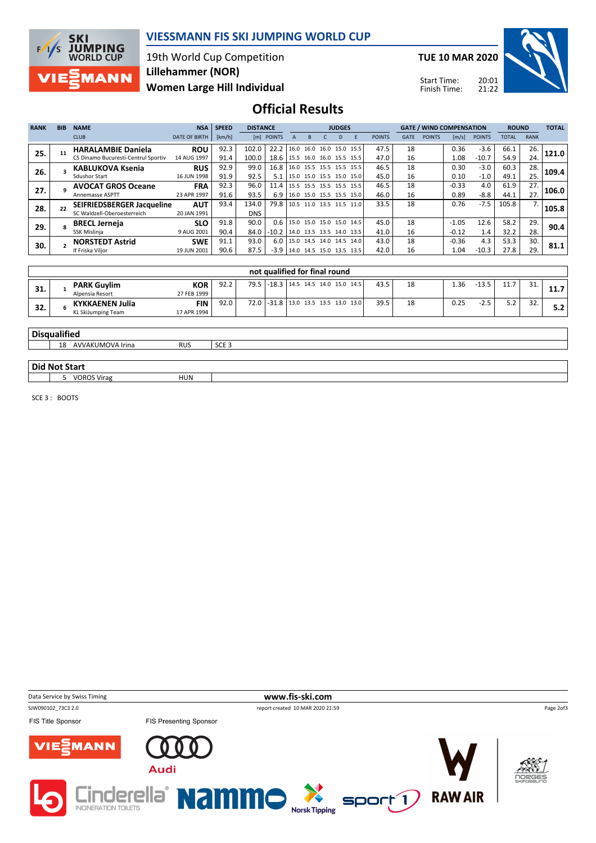

## **VIESSMANN FIS SKI JUMPING WORLD CUP**

19th World Cup Competition **Women Large Hill Individual Lillehammer (NOR)**

**TUE 10 MAR 2020**

Start Time: Finish Time:



## **Official Results**

| <b>RANK</b> | <b>BIB</b> | <b>NAME</b>                         | <b>NSA</b>           | <b>SPEED</b> | <b>DISTANCE</b> | <b>JUDGES</b> |  |   |  |   |                                      | <b>GATE / WIND COMPENSATION</b> |             |               | <b>ROUND</b> |               | <b>TOTAL</b> |             |       |
|-------------|------------|-------------------------------------|----------------------|--------------|-----------------|---------------|--|---|--|---|--------------------------------------|---------------------------------|-------------|---------------|--------------|---------------|--------------|-------------|-------|
|             |            | <b>CLUB</b>                         | <b>DATE OF BIRTH</b> | [km/h]       |                 | [m] POINTS    |  | B |  | D | F                                    | <b>POINTS</b>                   | <b>GATE</b> | <b>POINTS</b> | [m/s]        | <b>POINTS</b> | <b>TOTAL</b> | <b>RANK</b> |       |
| 25.         |            | <b>HARALAMBIE Daniela</b>           | <b>ROU</b>           | 92.3         | 102.0           | 22.2          |  |   |  |   | 16.0 16.0 16.0 15.0 15.5             | 47.5                            | 18          |               | 0.36         | $-3.6$        | 66.1         | 26.         | 121.0 |
|             |            | CS Dinamo Bucuresti-Centrul Sportiv | 14 AUG 1997          | 91.4         | 100.0           | 18.6          |  |   |  |   | $15.5$ 16.0 16.0 15.5 15.5           | 47.0                            | 16          |               | 1.08         | $-10.7$       | 54.9         | 24.         |       |
| 26.         |            | <b>KABLUKOVA Ksenia</b>             | <b>RUS</b>           | 92.9         | 99.0            | 16.8          |  |   |  |   | 16.0 15.5 15.5 15.5 15.5             | 46.5                            | 18          |               | 0.30         | $-3.0$        | 60.3         | 28.         | 109.4 |
|             |            | Sdushor Start                       | 16 JUN 1998          | 91.9         | 92.5            | 5.1           |  |   |  |   | 15.0 15.0 15.5 15.0 15.0             | 45.0                            | 16          |               | 0.10         | $-1.0$        | 49.1         | 25.         |       |
| 27.         |            | <b>AVOCAT GROS Oceane</b>           | <b>FRA</b>           | 92.3         | 96.0            | 11.4          |  |   |  |   | 15.5 15.5 15.5 15.5 15.5             | 46.5                            | 18          |               | $-0.33$      | 4.0           | 61.9         | 27.         | 106.0 |
|             |            | Annemasse ASPTT                     | 23 APR 1997          | 91.6         | 93.5            | 6.9           |  |   |  |   | 16.0 15.0 15.5 15.5 15.0             | 46.0                            | 16          |               | 0.89         | $-8.8$        | 44.1         | 27.         |       |
| 28.         |            | <b>SEIFRIEDSBERGER Jacqueline</b>   | <b>AUT</b>           | 93.4         | 134.0           | 79.8          |  |   |  |   | 10.5 11.0 13.5 11.5 11.0             | 33.5                            | 18          |               | 0.76         | $-7.5$        | 105.8        |             | 105.8 |
|             |            | SC Waldzell-Oberoesterreich         | 20 JAN 1991          |              | DNS             |               |  |   |  |   |                                      |                                 |             |               |              |               |              |             |       |
| 29.         |            | <b>BRECL Jerneia</b>                | <b>SLO</b>           | 91.8         | 90.0            | 0.6           |  |   |  |   | $15.0$ 15.0 15.0 15.0 14.5           | 45.0                            | 18          |               | $-1.05$      | 12.6          | 58.2         | 29.         | 90.4  |
|             |            | SSK Mislinja                        | 9 AUG 2001           | 90.4         | 84.0            | $-10.2$       |  |   |  |   | 14.0 13.5 13.5 14.0 13.5             | 41.0                            | 16          |               | $-0.12$      | 1.4           | 32.2         | 28.         |       |
| 30.         |            | <b>NORSTEDT Astrid</b>              | <b>SWE</b>           | 91.1         | 93.0            | 6.0           |  |   |  |   | 15.0 14.5 14.0 14.5 14.0             | 43.0                            | 18          |               | $-0.36$      | 4.3           | 53.3         | 30.         | 81.1  |
|             |            | If Friska Vilior                    | 19 JUN 2001          | 90.6         | 87.5            | $-3.9$        |  |   |  |   | $ 14.0 \t14.5 \t15.0 \t13.5 \t13.5 $ | 42.0                            | 16          |               | 1.04         | $-10.3$       | 27.8         | 29.         |       |

|     |                                              |                           |      |  | not qualified for final round       |  |      |    |      |         |      |            |             |
|-----|----------------------------------------------|---------------------------|------|--|-------------------------------------|--|------|----|------|---------|------|------------|-------------|
| 31. | <b>PARK Guylim</b><br>Alpensia Resort        | <b>KOR</b><br>27 FEB 1999 | 92.2 |  | 79.5 -18.3 14.5 14.5 14.0 15.0 14.5 |  | 43.5 | 18 | 1.36 | $-13.5$ | 11.Z | 21<br>. ۲. | <b>11.7</b> |
| 32. | <b>KYKKAENEN Julia</b><br>KL SkiJumping Team | FIN<br>17 APR 1994        | 92.0 |  | 72.0 -31.8 13.0 13.5 13.5 13.0 13.0 |  | 39.5 | 18 | 0.25 | $-2.5$  | ے.د  | 32.        | 5.2         |

#### **Disqualified**

18 AVVAKUMOVA Irina RUS SCE 3

### **Did Not Start**

**1** 5 VOROS Virag HUN

SCE 3 : BOOTS